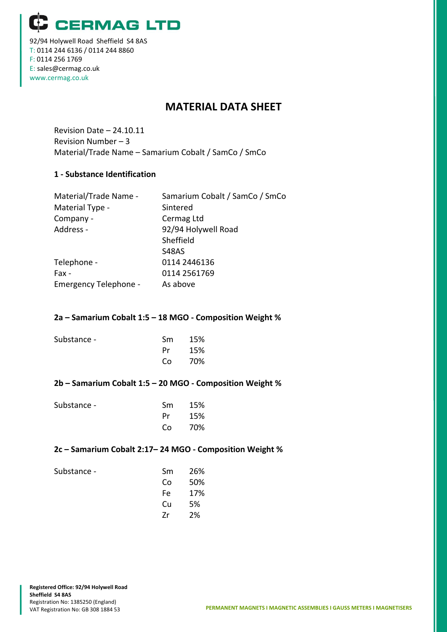**CERMAG LTD** 

92/94 Holywell Road Sheffield S4 8AS T: 0114 244 6136 / 0114 244 8860 F: 0114 256 1769 E: sales@cermag.co.uk www.cermag.co.uk

# **MATERIAL DATA SHEET**

Revision Date – 24.10.11 Revision Number – 3 Material/Trade Name – Samarium Cobalt / SamCo / SmCo

## **1 - Substance Identification**

| Material/Trade Name -        | Samarium Cobalt / SamCo / SmCo |
|------------------------------|--------------------------------|
| Material Type -              | Sintered                       |
| Company -                    | Cermag Ltd                     |
| Address -                    | 92/94 Holywell Road            |
|                              | Sheffield                      |
|                              | <b>S48AS</b>                   |
| Telephone -                  | 0114 2446136                   |
| Fax -                        | 0114 2561769                   |
| <b>Emergency Telephone -</b> | As above                       |
|                              |                                |

## **2a – Samarium Cobalt 1:5 – 18 MGO - Composition Weight %**

| Substance - | Sm - | - 15% |
|-------------|------|-------|
|             | Pr   | 15%   |
|             | Co   | - 70% |
|             |      |       |

## **2b – Samarium Cobalt 1:5 – 20 MGO - Composition Weight %**

| Substance - | Sm -      | 15%    |
|-------------|-----------|--------|
|             | <b>Pr</b> | - 15%  |
|             |           | Co 70% |

## **2c – Samarium Cobalt 2:17– 24 MGO - Composition Weight %**

Substance - Sm 26% **Co** 50%

Fe 17% Cu 5% Zr 2%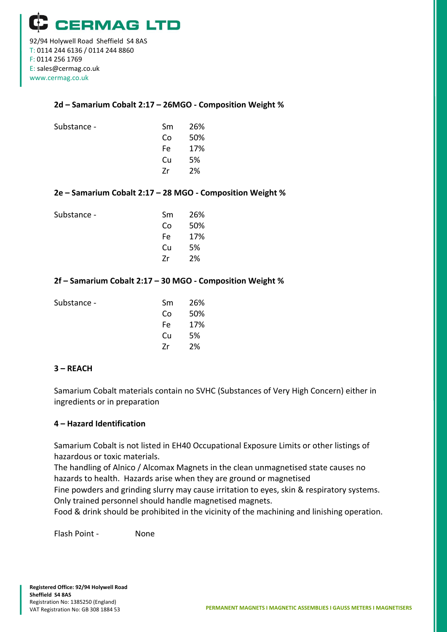www.cermag.co.uk

## **2d – Samarium Cobalt 2:17 – 26MGO - Composition Weight %**

| Substance - | Sm  | 26% |
|-------------|-----|-----|
|             | Co  | 50% |
|             | Fe. | 17% |
|             | Cu  | 5%  |
|             | 7r  | 2%  |
|             |     |     |

## **2e – Samarium Cobalt 2:17 – 28 MGO - Composition Weight %**

| Substance - | Sm. | 26% |
|-------------|-----|-----|
|             | Co  | 50% |
|             | Fe  | 17% |
|             | Cu  | 5%  |
|             | 7r  | 2%  |
|             |     |     |

## **2f – Samarium Cobalt 2:17 – 30 MGO - Composition Weight %**

| Substance - | Sm  | 26% |
|-------------|-----|-----|
|             | Co  | 50% |
|             | Fe. | 17% |
|             | Cu  | 5%  |
|             | 7r  | 2%  |
|             |     |     |

## **3 – REACH**

Samarium Cobalt materials contain no SVHC (Substances of Very High Concern) either in ingredients or in preparation

## **4 – Hazard Identification**

Samarium Cobalt is not listed in EH40 Occupational Exposure Limits or other listings of hazardous or toxic materials.

The handling of Alnico / Alcomax Magnets in the clean unmagnetised state causes no hazards to health. Hazards arise when they are ground or magnetised

Fine powders and grinding slurry may cause irritation to eyes, skin & respiratory systems. Only trained personnel should handle magnetised magnets.

Food & drink should be prohibited in the vicinity of the machining and linishing operation.

Flash Point - None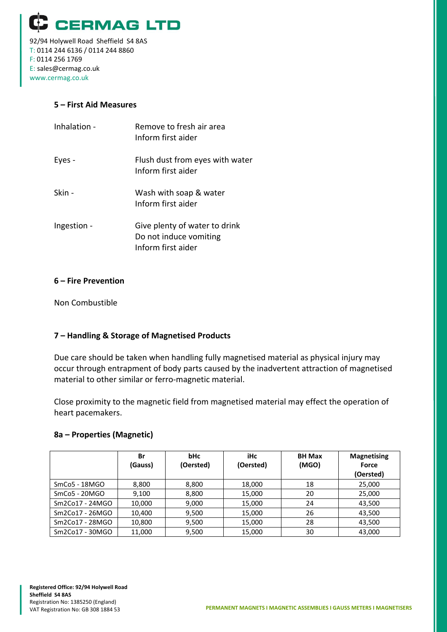

92/94 Holywell Road Sheffield S4 8AS T: 0114 244 6136 / 0114 244 8860 F: 0114 256 1769 E: sales@cermag.co.uk www.cermag.co.uk

## **5 – First Aid Measures**

| Inhalation - | Remove to fresh air area<br>Inform first aider                                |
|--------------|-------------------------------------------------------------------------------|
| Eyes -       | Flush dust from eyes with water<br>Inform first aider                         |
| Skin -       | Wash with soap & water<br>Inform first aider                                  |
| Ingestion -  | Give plenty of water to drink<br>Do not induce vomiting<br>Inform first aider |

## **6 – Fire Prevention**

Non Combustible

# **7 – Handling & Storage of Magnetised Products**

Due care should be taken when handling fully magnetised material as physical injury may occur through entrapment of body parts caused by the inadvertent attraction of magnetised material to other similar or ferro-magnetic material.

Close proximity to the magnetic field from magnetised material may effect the operation of heart pacemakers.

## **8a – Properties (Magnetic)**

|                 | Br<br>(Gauss) | bHc<br>(Oersted) | iHc<br>(Oersted) | <b>BH Max</b><br>(MGO) | <b>Magnetising</b><br>Force<br>(Oersted) |
|-----------------|---------------|------------------|------------------|------------------------|------------------------------------------|
| $SmCo5 - 18MGO$ | 8,800         | 8,800            | 18,000           | 18                     | 25,000                                   |
| $SmCo5 - 20MGO$ | 9,100         | 8,800            | 15,000           | 20                     | 25,000                                   |
| Sm2Co17 - 24MGO | 10,000        | 9,000            | 15,000           | 24                     | 43,500                                   |
| Sm2Co17 - 26MGO | 10,400        | 9,500            | 15,000           | 26                     | 43,500                                   |
| Sm2Co17 - 28MGO | 10,800        | 9,500            | 15,000           | 28                     | 43,500                                   |
| Sm2Co17 - 30MGO | 11,000        | 9,500            | 15,000           | 30                     | 43,000                                   |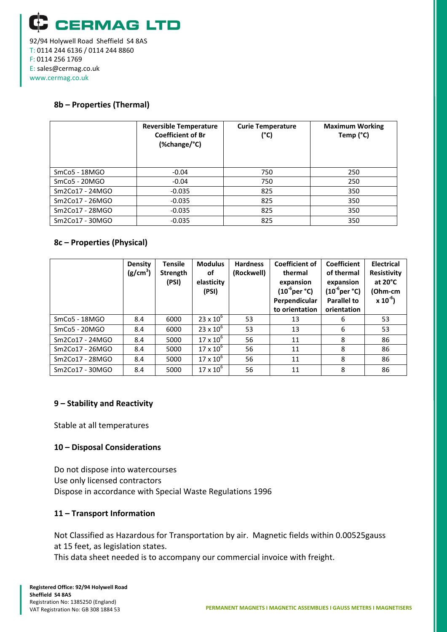

## **8b – Properties (Thermal)**

|                           | <b>Reversible Temperature</b><br><b>Coefficient of Br</b><br>(%change/°C) | <b>Curie Temperature</b><br>$(^{\circ}C)$ | <b>Maximum Working</b><br>Temp (°C) |  |
|---------------------------|---------------------------------------------------------------------------|-------------------------------------------|-------------------------------------|--|
| SmCo <sub>5</sub> - 18MGO | $-0.04$                                                                   | 750                                       | 250                                 |  |
| $SmCo5 - 20MGO$           | $-0.04$                                                                   | 750                                       | 250                                 |  |
| Sm2Co17 - 24MGO           | $-0.035$                                                                  | 825                                       | 350                                 |  |
| Sm2Co17 - 26MGO           | $-0.035$                                                                  | 825                                       | 350                                 |  |
| Sm2Co17 - 28MGO           | $-0.035$                                                                  | 825                                       | 350                                 |  |
| Sm2Co17 - 30MGO           | $-0.035$                                                                  | 825                                       | 350                                 |  |

## **8c – Properties (Physical)**

|                 | Density<br>(g/cm <sup>3</sup> ) | <b>Tensile</b><br>Strength<br>(PSI) | <b>Modulus</b><br>of<br>elasticity<br>(PSI) | <b>Hardness</b><br>(Rockwell) | <b>Coefficient of</b><br>thermal<br>expansion<br>$(10^6$ per °C)<br>Perpendicular<br>to orientation | <b>Coefficient</b><br>of thermal<br>expansion<br>$(10^6$ per °C)<br><b>Parallel to</b><br>orientation | <b>Electrical</b><br><b>Resistivity</b><br>at $20^{\circ}$ C<br>(Ohm-cm<br>$x 10^{-6}$ |
|-----------------|---------------------------------|-------------------------------------|---------------------------------------------|-------------------------------|-----------------------------------------------------------------------------------------------------|-------------------------------------------------------------------------------------------------------|----------------------------------------------------------------------------------------|
| SmCo5 - 18MGO   | 8.4                             | 6000                                | $23 \times 10^{6}$                          | 53                            | 13                                                                                                  | 6                                                                                                     | 53                                                                                     |
| $SmCo5 - 20MGO$ | 8.4                             | 6000                                | $23 \times 10^{6}$                          | 53                            | 13                                                                                                  | 6                                                                                                     | 53                                                                                     |
| Sm2Co17 - 24MGO | 8.4                             | 5000                                | $17 \times 10^{6}$                          | 56                            | 11                                                                                                  | 8                                                                                                     | 86                                                                                     |
| Sm2Co17 - 26MGO | 8.4                             | 5000                                | $17 \times 10^{6}$                          | 56                            | 11                                                                                                  | 8                                                                                                     | 86                                                                                     |
| Sm2Co17 - 28MGO | 8.4                             | 5000                                | $17 \times 10^6$                            | 56                            | 11                                                                                                  | 8                                                                                                     | 86                                                                                     |
| Sm2Co17 - 30MGO | 8.4                             | 5000                                | $17 \times 10^{6}$                          | 56                            | 11                                                                                                  | 8                                                                                                     | 86                                                                                     |

# **9 – Stability and Reactivity**

Stable at all temperatures

## **10 – Disposal Considerations**

Do not dispose into watercourses Use only licensed contractors Dispose in accordance with Special Waste Regulations 1996

## **11 – Transport Information**

Not Classified as Hazardous for Transportation by air. Magnetic fields within 0.00525gauss at 15 feet, as legislation states.

This data sheet needed is to accompany our commercial invoice with freight.